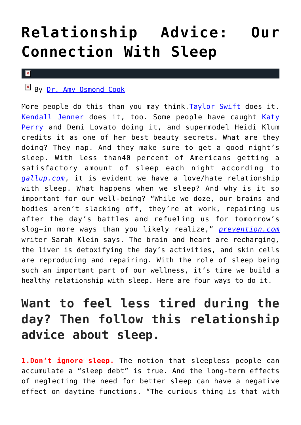## **[Relationship Advice: Our](https://cupidspulse.com/117399/relationship-advice-our-connection-with-sleep/) [Connection With Sleep](https://cupidspulse.com/117399/relationship-advice-our-connection-with-sleep/)**

## $\pmb{\times}$

## $\mathbb{E}$  By <u>Dr. Amy Osmond Cook</u>

More people do this than you may think. [Taylor Swift](http://cupidspulse.com/86081/taylor-swift/) does it. [Kendall Jenner](http://cupidspulse.com/93049/kendall-jenner/) does it, too. Some people have caught [Katy](http://cupidspulse.com/86093/katy-perry/) [Perry](http://cupidspulse.com/86093/katy-perry/) and Demi Lovato doing it, and supermodel Heidi Klum credits it as one of her best beauty secrets. What are they doing? They nap. And they make sure to get a good night's sleep. With less than40 percent of Americans getting a satisfactory amount of sleep each night according to *[gallup.com](http://www.gallup.com/poll/166553/less-recommended-amount-sleep.aspx)*, it is evident we have a love/hate relationship with sleep. What happens when we sleep? And why is it so important for our well-being? "While we doze, our brains and bodies aren't slacking off, they're at work, repairing us after the day's battles and refueling us for tomorrow's slog—in more ways than you likely realize," *[prevention.com](http://www.prevention.com/health/what-happens-during-sleep/slide/3)* writer Sarah Klein says. The brain and heart are recharging, the liver is detoxifying the day's activities, and skin cells are reproducing and repairing. With the role of sleep being such an important part of our wellness, it's time we build a healthy relationship with sleep. Here are four ways to do it.

## **Want to feel less tired during the day? Then follow this relationship advice about sleep.**

**1.Don't ignore sleep.** The notion that sleepless people can accumulate a "sleep debt" is true. And the long-term effects of neglecting the need for better sleep can have a negative effect on daytime functions. "The curious thing is that with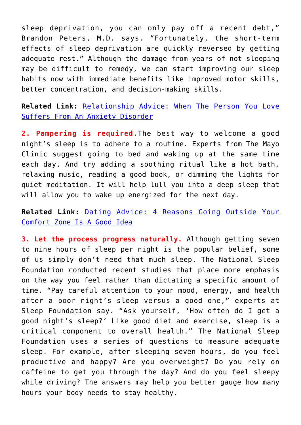sleep deprivation, you can only pay off a recent debt," Brandon Peters, M.D. says. "Fortunately, the short-term effects of sleep deprivation are quickly reversed by getting adequate rest." Although the damage from years of not sleeping may be difficult to remedy, we can start improving our sleep habits now with immediate benefits like improved motor skills, better concentration, and decision-making skills.

**Related Link:** [Relationship Advice: When The Person You Love](http://cupidspulse.com/116061/relationship-advice-person-you-love-anxiety/) [Suffers From An Anxiety Disorder](http://cupidspulse.com/116061/relationship-advice-person-you-love-anxiety/)

**2. Pampering is required.**The best way to welcome a good night's sleep is to adhere to a routine. Experts from The Mayo Clinic suggest going to bed and waking up at the same time each day. And try adding a soothing ritual like a hot bath, relaxing music, reading a good book, or dimming the lights for quiet meditation. It will help lull you into a deep sleep that will allow you to wake up energized for the next day.

**Related Link:** [Dating Advice: 4 Reasons Going Outside Your](http://cupidspulse.com/115552/dating-advice-outside-comfort-zone-good/) [Comfort Zone Is A Good Idea](http://cupidspulse.com/115552/dating-advice-outside-comfort-zone-good/)

**3. Let the process progress naturally.** Although getting seven to nine hours of sleep per night is the popular belief, some of us simply don't need that much sleep. The National Sleep Foundation conducted recent studies that place more emphasis on the way you feel rather than dictating a specific amount of time. "Pay careful attention to your mood, energy, and health after a poor night's sleep versus a good one," experts at Sleep Foundation say. "Ask yourself, 'How often do I get a good night's sleep?' Like good diet and exercise, sleep is a critical component to overall health." The National Sleep Foundation uses a series of questions to measure adequate sleep. For example, after sleeping seven hours, do you feel productive and happy? Are you overweight? Do you rely on caffeine to get you through the day? And do you feel sleepy while driving? The answers may help you better gauge how many hours your body needs to stay healthy.